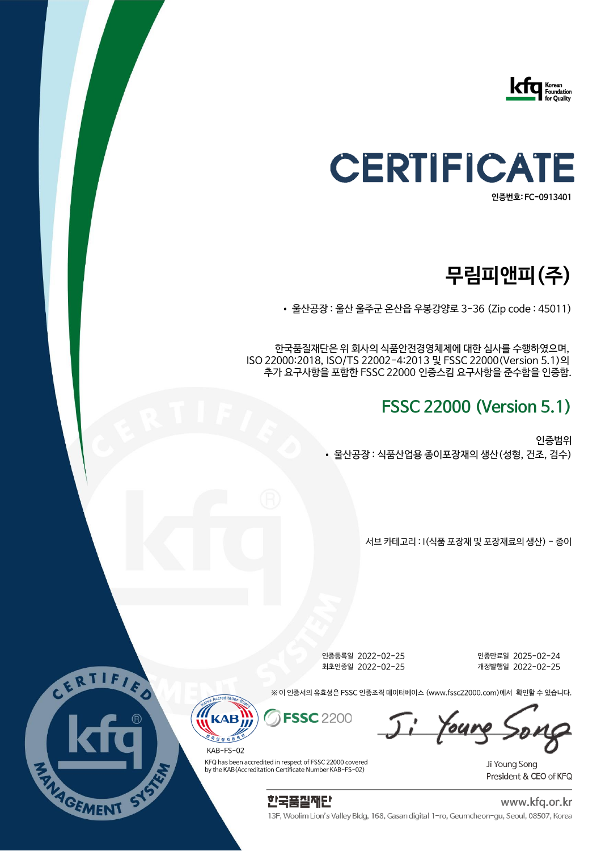



# **무림피앤피(주)**

• 울산공장 : 울산 울주군 온산읍 우봉강양로 3-36 (Zip code : 45011)

한국품질재단은 위 회사의 식품안전경영체제에 대한 심사를 수행하였으며, ISO 22000:2018, ISO/TS 22002-4:2013 및 FSSC 22000(Version 5.1)의 추가 요구사항을 포함한 FSSC 22000 인증스킴 요구사항을 준수함을 인증함.

### **FSSC 22000 (Version 5.1)**

인증범위 • 울산공장 : 식품산업용 종이포장재의 생산(성형, 건조, 검수)

서브 카테고리 : I(식품 포장재 및 포장재료의 생산) - 종이

인증등록일 2022-02-25 인증만료일 2025-02-24 최초인증일 2022-02-25 개정발행일 2022-02-25

※ 이 인증서의 유효성은 FSSC 인증조직 데이터베이스 (www.fssc22000.com)에서 확인할 수 있습니다.

Ji Young So

Ji Young Song President & CEO of KFQ



KFQ has been accredited in respect of FSSC 22000 covered by the KAB(Accreditation Certificate Number KAB-FS-02) KAB-FS-02

정지원



www.kfq.or.kr

13F, Woolim Lion's Valley Bldg, 168, Gasan digital 1-ro, Geumcheon-gu, Seoul, 08507, Korea